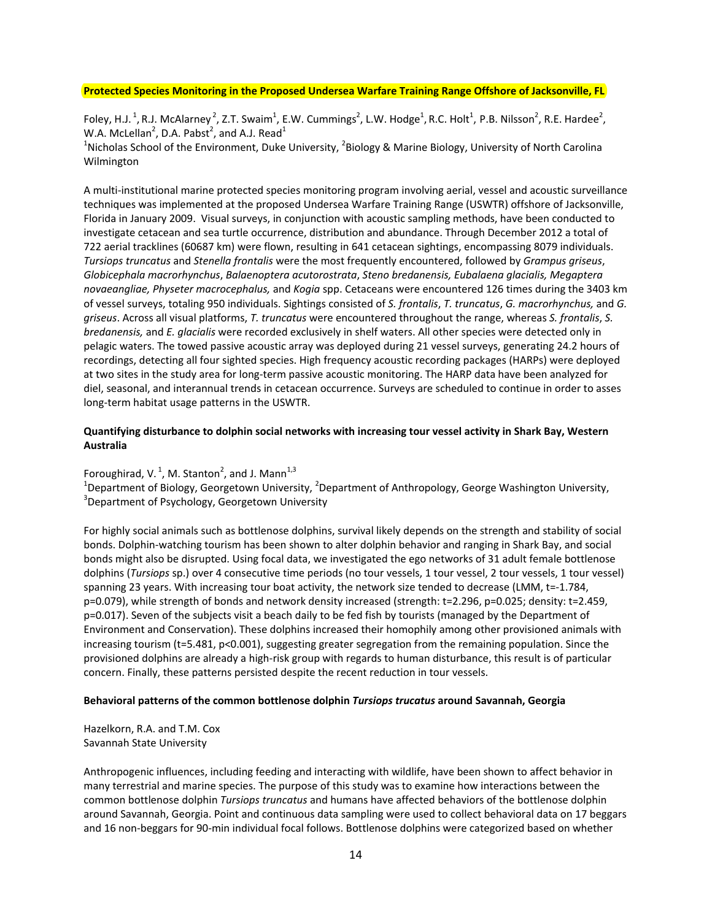## **Protected Species Monitoring in the Proposed Undersea Warfare Training Range Offshore of Jacksonville, FL**

Foley, H.J.<sup>1</sup>, R.J. McAlarney<sup>2</sup>, Z.T. Swaim<sup>1</sup>, E.W. Cummings<sup>2</sup>, L.W. Hodge<sup>1</sup>, R.C. Holt<sup>1</sup>, P.B. Nilsson<sup>2</sup>, R.E. Hardee<sup>2</sup>, W.A. McLellan<sup>2</sup>, D.A. Pabst<sup>2</sup>, and A.J. Read<sup>1</sup>

<sup>1</sup>Nicholas School of the Environment, Duke University, <sup>2</sup>Biology & Marine Biology, University of North Carolina Wilmington

A multi‐institutional marine protected species monitoring program involving aerial, vessel and acoustic surveillance techniques was implemented at the proposed Undersea Warfare Training Range (USWTR) offshore of Jacksonville, Florida in January 2009. Visual surveys, in conjunction with acoustic sampling methods, have been conducted to investigate cetacean and sea turtle occurrence, distribution and abundance. Through December 2012 a total of 722 aerial tracklines (60687 km) were flown, resulting in 641 cetacean sightings, encompassing 8079 individuals. *Tursiops truncatus* and *Stenella frontalis* were the most frequently encountered, followed by *Grampus griseus*, *Globicephala macrorhynchus*, *Balaenoptera acutorostrata*, *Steno bredanensis, Eubalaena glacialis, Megaptera novaeangliae, Physeter macrocephalus,* and *Kogia* spp. Cetaceans were encountered 126 times during the 3403 km of vessel surveys, totaling 950 individuals. Sightings consisted of *S. frontalis*, *T. truncatus*, *G. macrorhynchus,* and *G. griseus*. Across all visual platforms, *T. truncatus* were encountered throughout the range, whereas *S. frontalis*, *S. bredanensis,* and *E. glacialis* were recorded exclusively in shelf waters. All other species were detected only in pelagic waters. The towed passive acoustic array was deployed during 21 vessel surveys, generating 24.2 hours of recordings, detecting all four sighted species. High frequency acoustic recording packages (HARPs) were deployed at two sites in the study area for long‐term passive acoustic monitoring. The HARP data have been analyzed for diel, seasonal, and interannual trends in cetacean occurrence. Surveys are scheduled to continue in order to asses long‐term habitat usage patterns in the USWTR.

## **Quantifying disturbance to dolphin social networks with increasing tour vessel activity in Shark Bay, Western Australia**

Foroughirad, V.<sup>1</sup>, M. Stanton<sup>2</sup>, and J. Mann<sup>1,3</sup>

<sup>1</sup>Department of Biology, Georgetown University, <sup>2</sup>Department of Anthropology, George Washington University,<br><sup>3</sup>Department of Beychology, Georgetown University <sup>3</sup>Department of Psychology, Georgetown University

For highly social animals such as bottlenose dolphins, survival likely depends on the strength and stability of social bonds. Dolphin‐watching tourism has been shown to alter dolphin behavior and ranging in Shark Bay, and social bonds might also be disrupted. Using focal data, we investigated the ego networks of 31 adult female bottlenose dolphins (*Tursiops* sp.) over 4 consecutive time periods (no tour vessels, 1 tour vessel, 2 tour vessels, 1 tour vessel) spanning 23 years. With increasing tour boat activity, the network size tended to decrease (LMM, t=‐1.784, p=0.079), while strength of bonds and network density increased (strength: t=2.296, p=0.025; density: t=2.459, p=0.017). Seven of the subjects visit a beach daily to be fed fish by tourists (managed by the Department of Environment and Conservation). These dolphins increased their homophily among other provisioned animals with increasing tourism (t=5.481, p<0.001), suggesting greater segregation from the remaining population. Since the provisioned dolphins are already a high‐risk group with regards to human disturbance, this result is of particular concern. Finally, these patterns persisted despite the recent reduction in tour vessels.

## **Behavioral patterns of the common bottlenose dolphin** *Tursiops trucatus* **around Savannah, Georgia**

Hazelkorn, R.A. and T.M. Cox Savannah State University

Anthropogenic influences, including feeding and interacting with wildlife, have been shown to affect behavior in many terrestrial and marine species. The purpose of this study was to examine how interactions between the common bottlenose dolphin *Tursiops truncatus* and humans have affected behaviors of the bottlenose dolphin around Savannah, Georgia. Point and continuous data sampling were used to collect behavioral data on 17 beggars and 16 non‐beggars for 90‐min individual focal follows. Bottlenose dolphins were categorized based on whether